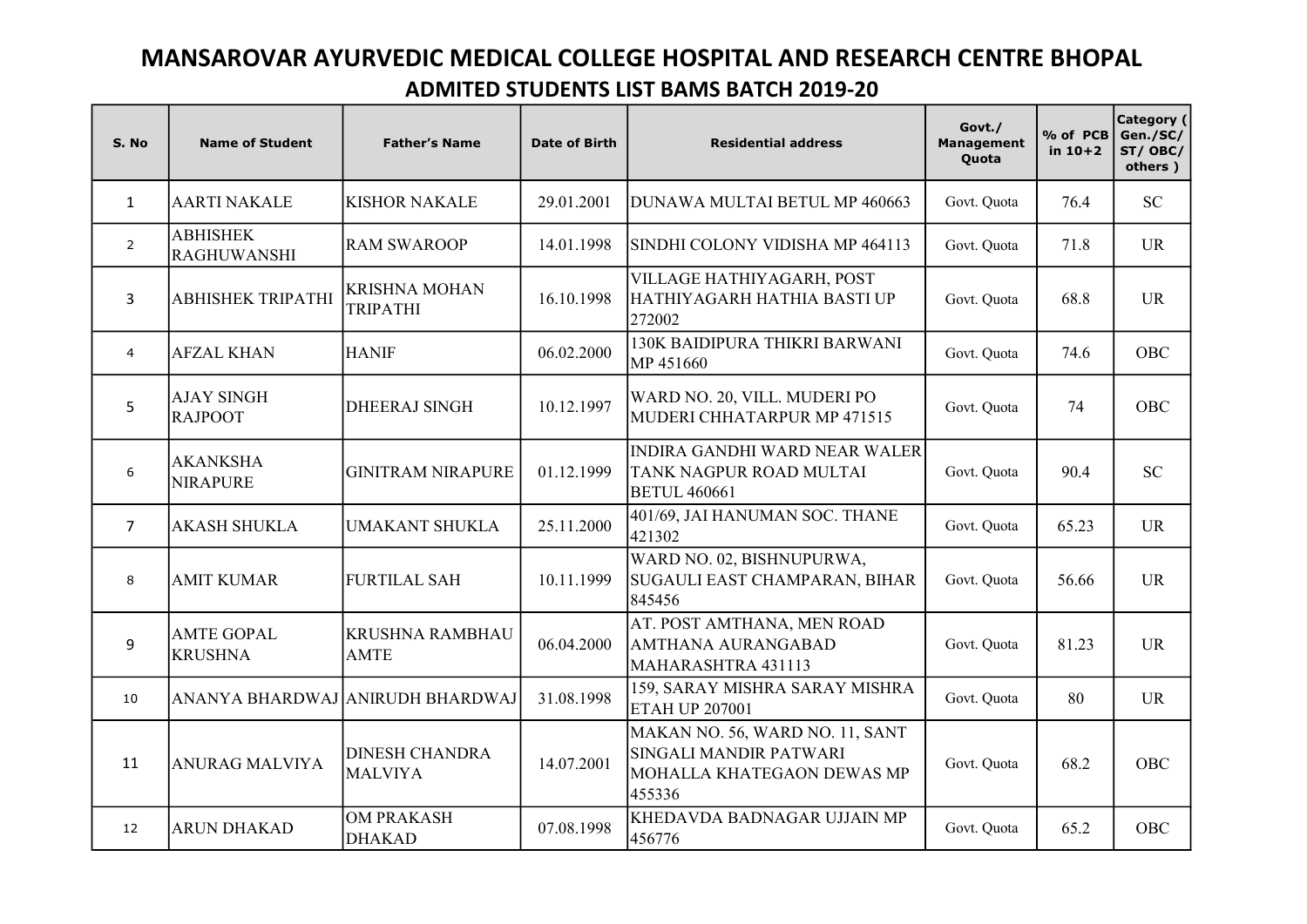## MANSAROVAR AYURVEDIC MEDICAL COLLEGE HOSPITAL AND RESEARCH CENTRE BHOPAL ADMITED STUDENTS LIST BAMS BATCH 2019-20

| S. No          | <b>Name of Student</b>                | <b>Father's Name</b>                    | Date of Birth | <b>Residential address</b>                                                                        | Govt./<br><b>Management</b><br>Quota | % of PCB<br>in $10+2$ | Category (<br>Gen./SC/<br>ST/OBC/<br>others) |
|----------------|---------------------------------------|-----------------------------------------|---------------|---------------------------------------------------------------------------------------------------|--------------------------------------|-----------------------|----------------------------------------------|
| $\mathbf{1}$   | <b>AARTI NAKALE</b>                   | <b>KISHOR NAKALE</b>                    | 29.01.2001    | DUNAWA MULTAI BETUL MP 460663                                                                     | Govt. Quota                          | 76.4                  | <b>SC</b>                                    |
| 2              | <b>ABHISHEK</b><br><b>RAGHUWANSHI</b> | <b>RAM SWAROOP</b>                      | 14.01.1998    | ISINDHI COLONY VIDISHA MP 464113                                                                  | Govt. Quota                          | 71.8                  | <b>UR</b>                                    |
| 3              | ABHISHEK TRIPATHI                     | <b>KRISHNA MOHAN</b><br><b>TRIPATHI</b> | 16.10.1998    | VILLAGE HATHIYAGARH, POST<br>HATHIYAGARH HATHIA BASTI UP<br>272002                                | Govt. Quota                          | 68.8                  | <b>UR</b>                                    |
| $\overline{4}$ | <b>AFZAL KHAN</b>                     | <b>HANIF</b>                            | 06.02.2000    | 130K BAIDIPURA THIKRI BARWANI<br>MP 451660                                                        | Govt. Quota                          | 74.6                  | OBC                                          |
| 5              | <b>AJAY SINGH</b><br><b>RAJPOOT</b>   | <b>DHEERAJ SINGH</b>                    | 10.12.1997    | WARD NO. 20, VILL. MUDERI PO<br>MUDERI CHHATARPUR MP 471515                                       | Govt. Quota                          | 74                    | <b>OBC</b>                                   |
| 6              | <b>AKANKSHA</b><br><b>NIRAPURE</b>    | <b>GINITRAM NIRAPURE</b>                | 01.12.1999    | INDIRA GANDHI WARD NEAR WALER<br>TANK NAGPUR ROAD MULTAI<br><b>BETUL 460661</b>                   | Govt. Quota                          | 90.4                  | <b>SC</b>                                    |
| 7              | <b>AKASH SHUKLA</b>                   | <b>UMAKANT SHUKLA</b>                   | 25.11.2000    | 401/69, JAI HANUMAN SOC. THANE<br>421302                                                          | Govt. Quota                          | 65.23                 | <b>UR</b>                                    |
| 8              | <b>AMIT KUMAR</b>                     | <b>FURTILAL SAH</b>                     | 10.11.1999    | WARD NO. 02, BISHNUPURWA,<br>SUGAULI EAST CHAMPARAN, BIHAR<br>845456                              | Govt. Quota                          | 56.66                 | <b>UR</b>                                    |
| 9              | <b>AMTE GOPAL</b><br><b>KRUSHNA</b>   | <b>KRUSHNA RAMBHAU</b><br><b>AMTE</b>   | 06.04.2000    | AT. POST AMTHANA, MEN ROAD<br><b>AMTHANA AURANGABAD</b><br>MAHARASHTRA 431113                     | Govt. Quota                          | 81.23                 | <b>UR</b>                                    |
| 10             |                                       | ANANYA BHARDWAJ ANIRUDH BHARDWAJ        | 31.08.1998    | 159, SARAY MISHRA SARAY MISHRA<br><b>ETAH UP 207001</b>                                           | Govt. Quota                          | 80                    | <b>UR</b>                                    |
| 11             | <b>ANURAG MALVIYA</b>                 | <b>DINESH CHANDRA</b><br><b>MALVIYA</b> | 14.07.2001    | MAKAN NO. 56, WARD NO. 11, SANT<br>SINGALI MANDIR PATWARI<br>MOHALLA KHATEGAON DEWAS MP<br>455336 | Govt. Quota                          | 68.2                  | OBC                                          |
| 12             | <b>ARUN DHAKAD</b>                    | <b>OM PRAKASH</b><br><b>DHAKAD</b>      | 07.08.1998    | KHEDAVDA BADNAGAR UJJAIN MP<br>456776                                                             | Govt. Quota                          | 65.2                  | OBC                                          |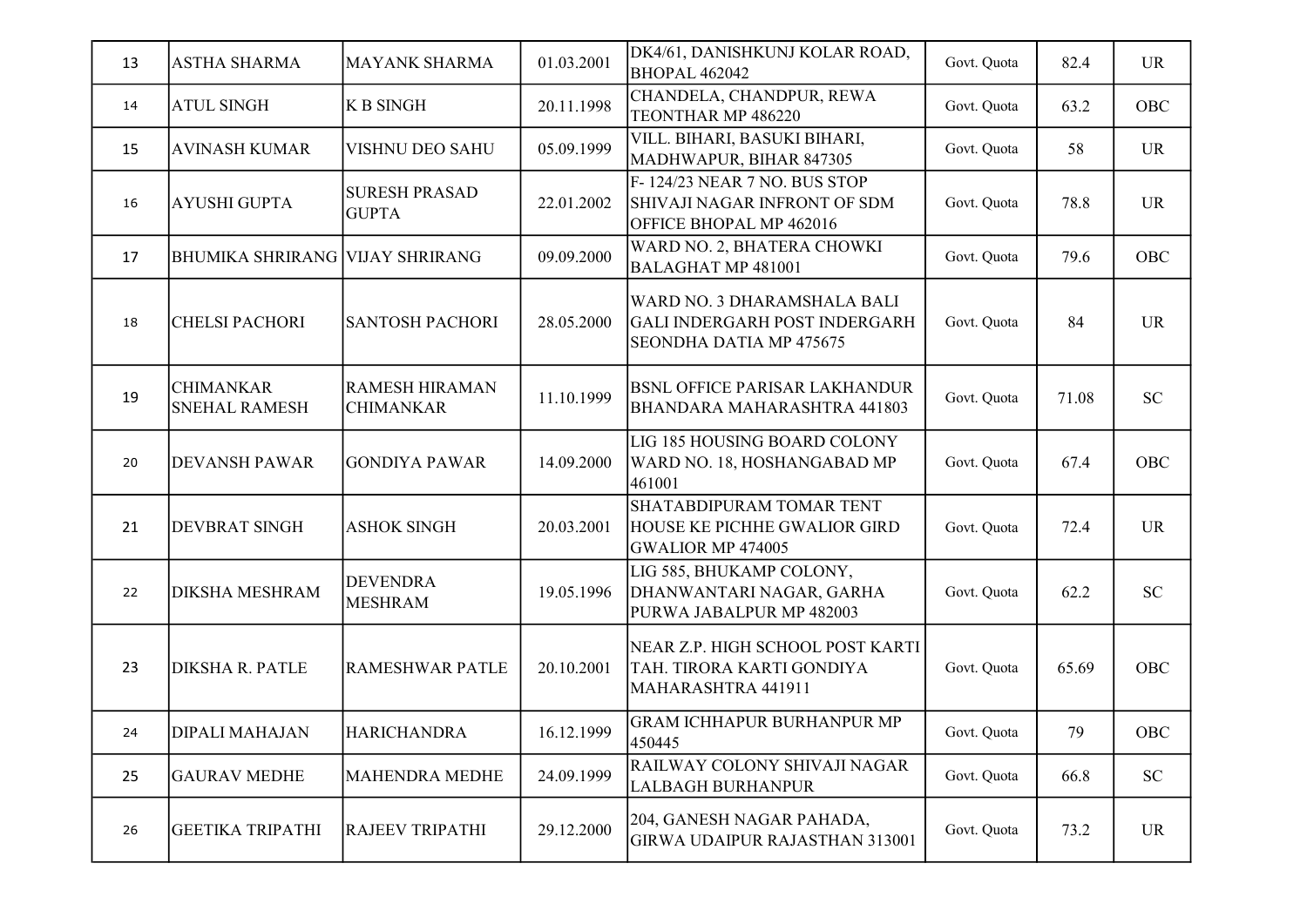| 13 | <b>ASTHA SHARMA</b>                      | <b>MAYANK SHARMA</b>                      | 01.03.2001 | DK4/61, DANISHKUNJ KOLAR ROAD,<br><b>BHOPAL 462042</b>                                         | Govt. Quota | 82.4  | <b>UR</b> |
|----|------------------------------------------|-------------------------------------------|------------|------------------------------------------------------------------------------------------------|-------------|-------|-----------|
| 14 | <b>ATUL SINGH</b>                        | <b>K B SINGH</b>                          | 20.11.1998 | CHANDELA, CHANDPUR, REWA<br>TEONTHAR MP 486220                                                 | Govt. Quota | 63.2  | OBC       |
| 15 | <b>AVINASH KUMAR</b>                     | VISHNU DEO SAHU                           | 05.09.1999 | VILL. BIHARI, BASUKI BIHARI,<br>MADHWAPUR, BIHAR 847305                                        | Govt. Quota | 58    | <b>UR</b> |
| 16 | <b>AYUSHI GUPTA</b>                      | <b>SURESH PRASAD</b><br><b>GUPTA</b>      | 22.01.2002 | F-124/23 NEAR 7 NO. BUS STOP<br>SHIVAJI NAGAR INFRONT OF SDM<br>OFFICE BHOPAL MP 462016        | Govt. Quota | 78.8  | <b>UR</b> |
| 17 | <b>BHUMIKA SHRIRANG VIJAY SHRIRANG</b>   |                                           | 09.09.2000 | WARD NO. 2, BHATERA CHOWKI<br><b>BALAGHAT MP 481001</b>                                        | Govt. Quota | 79.6  | OBC       |
| 18 | <b>CHELSI PACHORI</b>                    | <b>SANTOSH PACHORI</b>                    | 28.05.2000 | WARD NO. 3 DHARAMSHALA BALI<br><b>GALI INDERGARH POST INDERGARH</b><br>SEONDHA DATIA MP 475675 | Govt. Quota | 84    | <b>UR</b> |
| 19 | <b>CHIMANKAR</b><br><b>SNEHAL RAMESH</b> | <b>RAMESH HIRAMAN</b><br><b>CHIMANKAR</b> | 11.10.1999 | <b>BSNL OFFICE PARISAR LAKHANDUR</b><br>BHANDARA MAHARASHTRA 441803                            | Govt. Quota | 71.08 | <b>SC</b> |
| 20 | <b>DEVANSH PAWAR</b>                     | <b>GONDIYA PAWAR</b>                      | 14.09.2000 | LIG 185 HOUSING BOARD COLONY<br>WARD NO. 18, HOSHANGABAD MP<br>461001                          | Govt. Quota | 67.4  | OBC       |
| 21 | DEVBRAT SINGH                            | <b>ASHOK SINGH</b>                        | 20.03.2001 | SHATABDIPURAM TOMAR TENT<br>HOUSE KE PICHHE GWALIOR GIRD<br><b>GWALIOR MP 474005</b>           | Govt. Quota | 72.4  | <b>UR</b> |
| 22 | <b>DIKSHA MESHRAM</b>                    | <b>DEVENDRA</b><br><b>MESHRAM</b>         | 19.05.1996 | LIG 585, BHUKAMP COLONY,<br>DHANWANTARI NAGAR, GARHA<br>PURWA JABALPUR MP 482003               | Govt. Quota | 62.2  | <b>SC</b> |
| 23 | <b>DIKSHA R. PATLE</b>                   | <b>RAMESHWAR PATLE</b>                    | 20.10.2001 | NEAR Z.P. HIGH SCHOOL POST KARTI<br>TAH. TIRORA KARTI GONDIYA<br>MAHARASHTRA 441911            | Govt. Quota | 65.69 | OBC       |
| 24 | DIPALI MAHAJAN                           | <b>HARICHANDRA</b>                        | 16.12.1999 | <b>GRAM ICHHAPUR BURHANPUR MP</b><br>450445                                                    | Govt. Quota | 79    | OBC       |
| 25 | <b>GAURAV MEDHE</b>                      | <b>MAHENDRA MEDHE</b>                     | 24.09.1999 | RAILWAY COLONY SHIVAJI NAGAR<br><b>LALBAGH BURHANPUR</b>                                       | Govt. Quota | 66.8  | <b>SC</b> |
| 26 | <b>GEETIKA TRIPATHI</b>                  | <b>RAJEEV TRIPATHI</b>                    | 29.12.2000 | 204, GANESH NAGAR PAHADA,<br><b>GIRWA UDAIPUR RAJASTHAN 313001</b>                             | Govt. Quota | 73.2  | <b>UR</b> |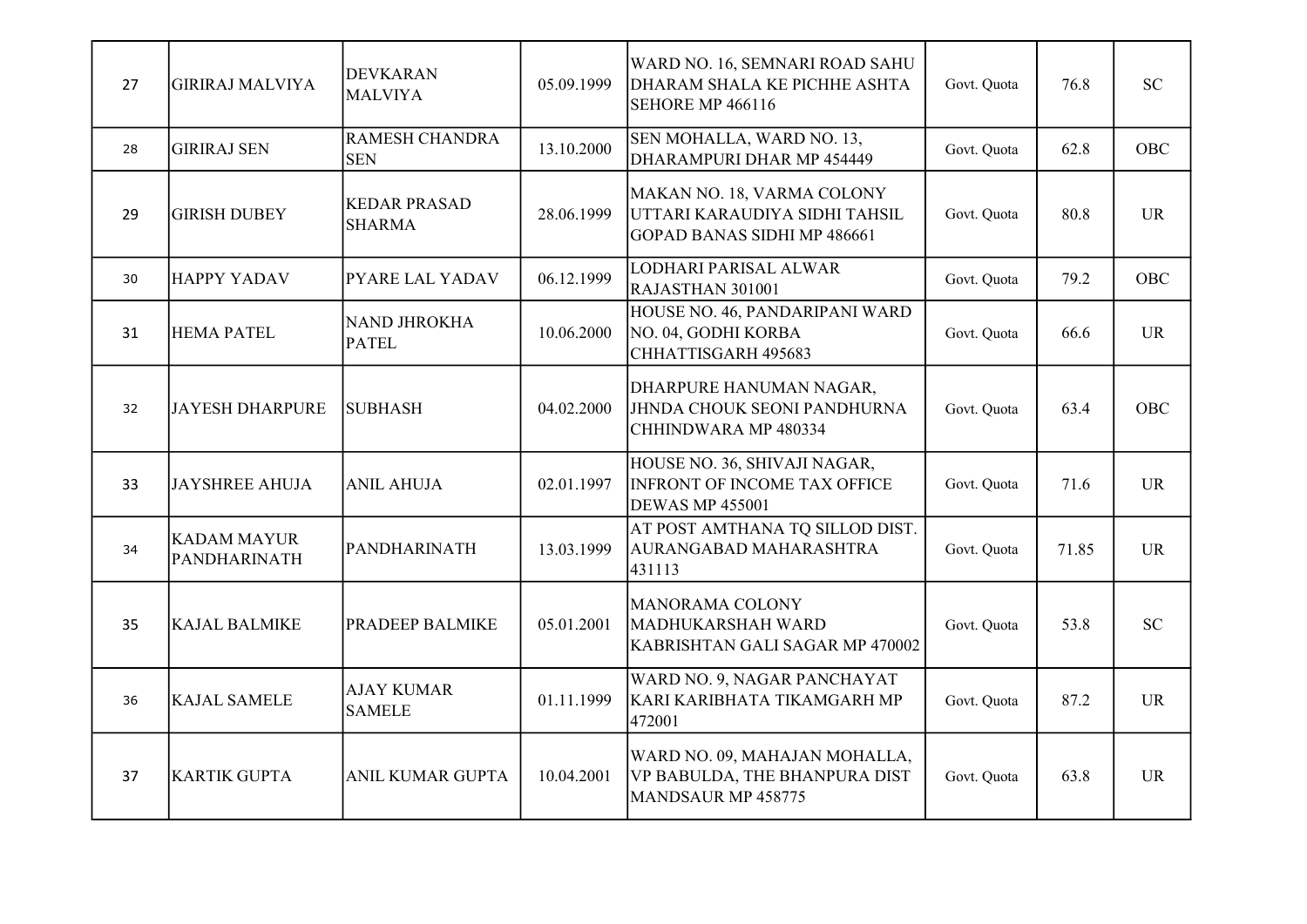| 27 | <b>GIRIRAJ MALVIYA</b>             | <b>DEVKARAN</b><br><b>MALVIYA</b>    | 05.09.1999 | WARD NO. 16, SEMNARI ROAD SAHU<br>DHARAM SHALA KE PICHHE ASHTA<br>SEHORE MP 466116                | Govt. Quota | 76.8  | <b>SC</b>  |
|----|------------------------------------|--------------------------------------|------------|---------------------------------------------------------------------------------------------------|-------------|-------|------------|
| 28 | <b>GIRIRAJ SEN</b>                 | <b>RAMESH CHANDRA</b><br><b>SEN</b>  | 13.10.2000 | SEN MOHALLA, WARD NO. 13,<br>DHARAMPURI DHAR MP 454449                                            | Govt. Quota | 62.8  | <b>OBC</b> |
| 29 | <b>GIRISH DUBEY</b>                | <b>KEDAR PRASAD</b><br><b>SHARMA</b> | 28.06.1999 | MAKAN NO. 18, VARMA COLONY<br>UTTARI KARAUDIYA SIDHI TAHSIL<br><b>GOPAD BANAS SIDHI MP 486661</b> | Govt. Quota | 80.8  | <b>UR</b>  |
| 30 | <b>HAPPY YADAV</b>                 | <b>PYARE LAL YADAV</b>               | 06.12.1999 | LODHARI PARISAL ALWAR<br>RAJASTHAN 301001                                                         | Govt. Quota | 79.2  | OBC        |
| 31 | <b>HEMA PATEL</b>                  | <b>NAND JHROKHA</b><br><b>PATEL</b>  | 10.06.2000 | HOUSE NO. 46, PANDARIPANI WARD<br>NO. 04, GODHI KORBA<br>CHHATTISGARH 495683                      | Govt. Quota | 66.6  | <b>UR</b>  |
| 32 | <b>JAYESH DHARPURE</b>             | <b>SUBHASH</b>                       | 04.02.2000 | DHARPURE HANUMAN NAGAR,<br>JHNDA CHOUK SEONI PANDHURNA<br>CHHINDWARA MP 480334                    | Govt. Quota | 63.4  | <b>OBC</b> |
| 33 | <b>JAYSHREE AHUJA</b>              | <b>ANIL AHUJA</b>                    | 02.01.1997 | HOUSE NO. 36, SHIVAJI NAGAR,<br><b>INFRONT OF INCOME TAX OFFICE</b><br><b>DEWAS MP 455001</b>     | Govt. Quota | 71.6  | <b>UR</b>  |
| 34 | <b>KADAM MAYUR</b><br>PANDHARINATH | PANDHARINATH                         | 13.03.1999 | AT POST AMTHANA TQ SILLOD DIST.<br>AURANGABAD MAHARASHTRA<br>431113                               | Govt. Quota | 71.85 | <b>UR</b>  |
| 35 | <b>KAJAL BALMIKE</b>               | <b>PRADEEP BALMIKE</b>               | 05.01.2001 | MANORAMA COLONY<br>MADHUKARSHAH WARD<br>KABRISHTAN GALI SAGAR MP 470002                           | Govt. Quota | 53.8  | <b>SC</b>  |
| 36 | <b>KAJAL SAMELE</b>                | <b>AJAY KUMAR</b><br><b>SAMELE</b>   | 01.11.1999 | WARD NO. 9, NAGAR PANCHAYAT<br>KARI KARIBHATA TIKAMGARH MP<br>472001                              | Govt. Quota | 87.2  | <b>UR</b>  |
| 37 | <b>KARTIK GUPTA</b>                | <b>ANIL KUMAR GUPTA</b>              | 10.04.2001 | WARD NO. 09, MAHAJAN MOHALLA,<br>VP BABULDA, THE BHANPURA DIST<br>MANDSAUR MP 458775              | Govt. Quota | 63.8  | <b>UR</b>  |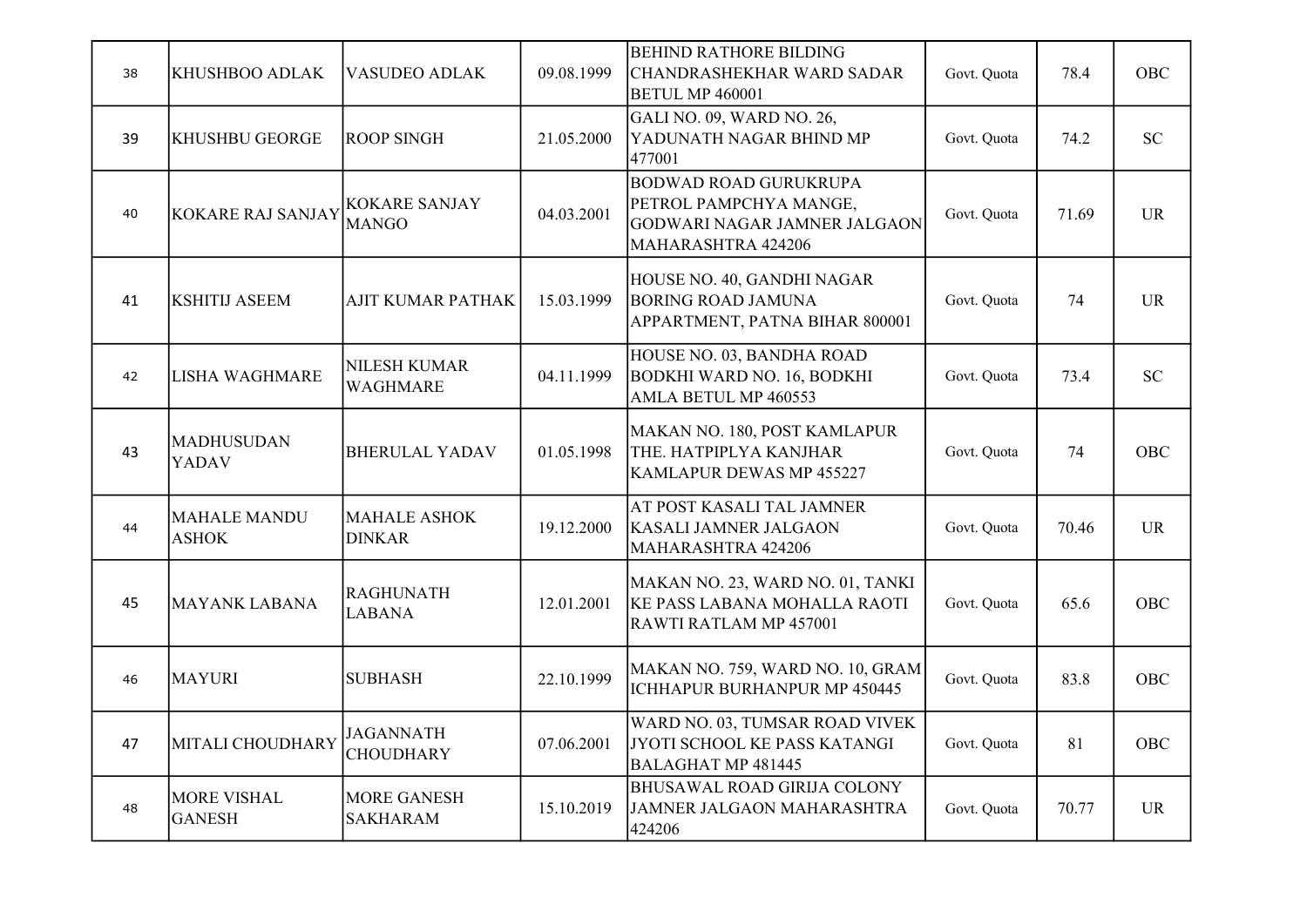| 38 | KHUSHBOO ADLAK                      | VASUDEO ADLAK                         | 09.08.1999 | <b>BEHIND RATHORE BILDING</b><br>CHANDRASHEKHAR WARD SADAR<br><b>BETUL MP 460001</b>                                | Govt. Quota | 78.4  | OBC       |
|----|-------------------------------------|---------------------------------------|------------|---------------------------------------------------------------------------------------------------------------------|-------------|-------|-----------|
| 39 | <b>KHUSHBU GEORGE</b>               | <b>ROOP SINGH</b>                     | 21.05.2000 | GALI NO. 09, WARD NO. 26,<br>YADUNATH NAGAR BHIND MP<br>477001                                                      | Govt. Quota | 74.2  | <b>SC</b> |
| 40 | <b>KOKARE RAJ SANJAY</b>            | <b>KOKARE SANJAY</b><br><b>MANGO</b>  | 04.03.2001 | <b>BODWAD ROAD GURUKRUPA</b><br>PETROL PAMPCHYA MANGE,<br><b>GODWARI NAGAR JAMNER JALGAON</b><br>MAHARASHTRA 424206 | Govt. Quota | 71.69 | <b>UR</b> |
| 41 | <b>KSHITIJ ASEEM</b>                | <b>AJIT KUMAR PATHAK</b>              | 15.03.1999 | HOUSE NO. 40, GANDHI NAGAR<br><b>BORING ROAD JAMUNA</b><br>APPARTMENT, PATNA BIHAR 800001                           | Govt. Quota | 74    | <b>UR</b> |
| 42 | <b>LISHA WAGHMARE</b>               | <b>NILESH KUMAR</b><br>WAGHMARE       | 04.11.1999 | HOUSE NO. 03, BANDHA ROAD<br>BODKHI WARD NO. 16, BODKHI<br>AMLA BETUL MP 460553                                     | Govt. Quota | 73.4  | <b>SC</b> |
| 43 | <b>MADHUSUDAN</b><br>YADAV          | <b>BHERULAL YADAV</b>                 | 01.05.1998 | MAKAN NO. 180, POST KAMLAPUR<br>THE. HATPIPLYA KANJHAR<br>KAMLAPUR DEWAS MP 455227                                  | Govt. Quota | 74    | OBC       |
| 44 | <b>MAHALE MANDU</b><br><b>ASHOK</b> | <b>MAHALE ASHOK</b><br><b>DINKAR</b>  | 19.12.2000 | AT POST KASALI TAL JAMNER<br><b>KASALI JAMNER JALGAON</b><br>MAHARASHTRA 424206                                     | Govt. Quota | 70.46 | <b>UR</b> |
| 45 | <b>MAYANK LABANA</b>                | <b>RAGHUNATH</b><br><b>LABANA</b>     | 12.01.2001 | MAKAN NO. 23, WARD NO. 01, TANKI<br><b>KE PASS LABANA MOHALLA RAOTI</b><br>RAWTI RATLAM MP 457001                   | Govt. Quota | 65.6  | OBC       |
| 46 | <b>MAYURI</b>                       | <b>SUBHASH</b>                        | 22.10.1999 | MAKAN NO. 759, WARD NO. 10, GRAM<br>ICHHAPUR BURHANPUR MP 450445                                                    | Govt. Quota | 83.8  | OBC       |
| 47 | MITALI CHOUDHARY                    | <b>JAGANNATH</b><br><b>CHOUDHARY</b>  | 07.06.2001 | WARD NO. 03, TUMSAR ROAD VIVEK<br>JYOTI SCHOOL KE PASS KATANGI<br><b>BALAGHAT MP 481445</b>                         | Govt. Quota | 81    | OBC       |
| 48 | <b>MORE VISHAL</b><br><b>GANESH</b> | <b>MORE GANESH</b><br><b>SAKHARAM</b> | 15.10.2019 | <b>BHUSAWAL ROAD GIRIJA COLONY</b><br>JAMNER JALGAON MAHARASHTRA<br>424206                                          | Govt. Quota | 70.77 | <b>UR</b> |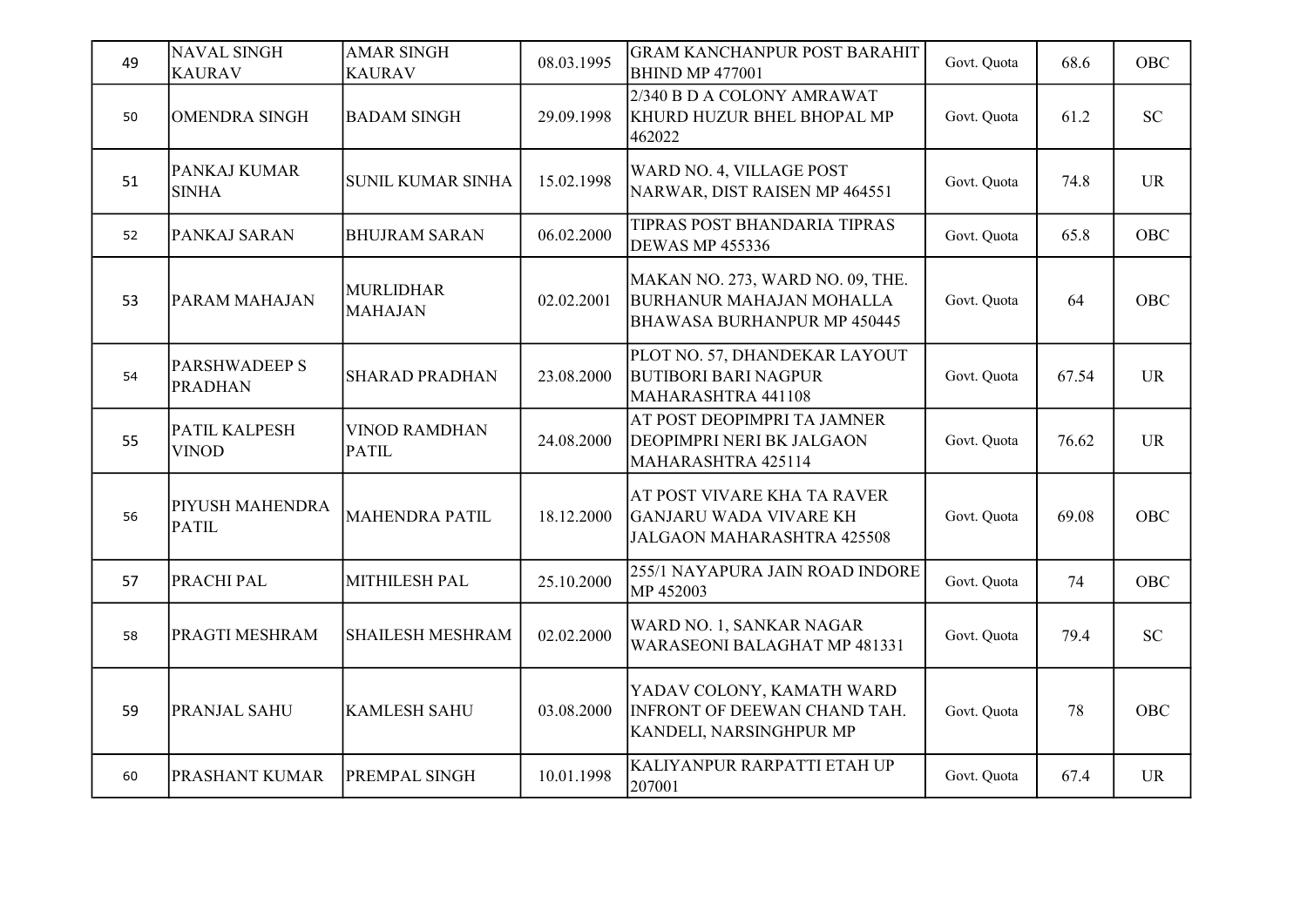| 49 | <b>NAVAL SINGH</b><br><b>KAURAV</b>    | <b>AMAR SINGH</b><br><b>KAURAV</b>   | 08.03.1995 | <b>GRAM KANCHANPUR POST BARAHIT</b><br><b>BHIND MP 477001</b>                                      | Govt. Quota | 68.6  | <b>OBC</b> |
|----|----------------------------------------|--------------------------------------|------------|----------------------------------------------------------------------------------------------------|-------------|-------|------------|
| 50 | OMENDRA SINGH                          | <b>BADAM SINGH</b>                   | 29.09.1998 | 2/340 B D A COLONY AMRAWAT<br>KHURD HUZUR BHEL BHOPAL MP<br>462022                                 | Govt. Quota | 61.2  | <b>SC</b>  |
| 51 | PANKAJ KUMAR<br><b>SINHA</b>           | <b>SUNIL KUMAR SINHA</b>             | 15.02.1998 | WARD NO. 4, VILLAGE POST<br>NARWAR, DIST RAISEN MP 464551                                          | Govt. Quota | 74.8  | <b>UR</b>  |
| 52 | PANKAJ SARAN                           | <b>BHUJRAM SARAN</b>                 | 06.02.2000 | TIPRAS POST BHANDARIA TIPRAS<br><b>DEWAS MP 455336</b>                                             | Govt. Quota | 65.8  | OBC        |
| 53 | PARAM MAHAJAN                          | <b>MURLIDHAR</b><br><b>MAHAJAN</b>   | 02.02.2001 | MAKAN NO. 273, WARD NO. 09, THE.<br><b>BURHANUR MAHAJAN MOHALLA</b><br>BHAWASA BURHANPUR MP 450445 | Govt. Quota | 64    | OBC        |
| 54 | <b>PARSHWADEEP S</b><br><b>PRADHAN</b> | <b>SHARAD PRADHAN</b>                | 23.08.2000 | PLOT NO. 57, DHANDEKAR LAYOUT<br><b>BUTIBORI BARI NAGPUR</b><br>MAHARASHTRA 441108                 | Govt. Quota | 67.54 | <b>UR</b>  |
| 55 | PATIL KALPESH<br><b>VINOD</b>          | <b>VINOD RAMDHAN</b><br><b>PATIL</b> | 24.08.2000 | AT POST DEOPIMPRI TA JAMNER<br>DEOPIMPRI NERI BK JALGAON<br>MAHARASHTRA 425114                     | Govt. Quota | 76.62 | <b>UR</b>  |
| 56 | PIYUSH MAHENDRA<br><b>PATIL</b>        | <b>MAHENDRA PATIL</b>                | 18.12.2000 | AT POST VIVARE KHA TA RAVER<br><b>GANJARU WADA VIVARE KH</b><br>JALGAON MAHARASHTRA 425508         | Govt. Quota | 69.08 | OBC        |
| 57 | PRACHI PAL                             | MITHILESH PAL                        | 25.10.2000 | 255/1 NAYAPURA JAIN ROAD INDORE<br>MP 452003                                                       | Govt. Quota | 74    | OBC        |
| 58 | PRAGTI MESHRAM                         | <b>SHAILESH MESHRAM</b>              | 02.02.2000 | WARD NO. 1, SANKAR NAGAR<br>WARASEONI BALAGHAT MP 481331                                           | Govt. Quota | 79.4  | <b>SC</b>  |
| 59 | PRANJAL SAHU                           | <b>KAMLESH SAHU</b>                  | 03.08.2000 | YADAV COLONY, KAMATH WARD<br><b>INFRONT OF DEEWAN CHAND TAH.</b><br>KANDELI, NARSINGHPUR MP        | Govt. Quota | 78    | <b>OBC</b> |
| 60 | PRASHANT KUMAR                         | PREMPAL SINGH                        | 10.01.1998 | KALIYANPUR RARPATTI ETAH UP<br>207001                                                              | Govt. Quota | 67.4  | <b>UR</b>  |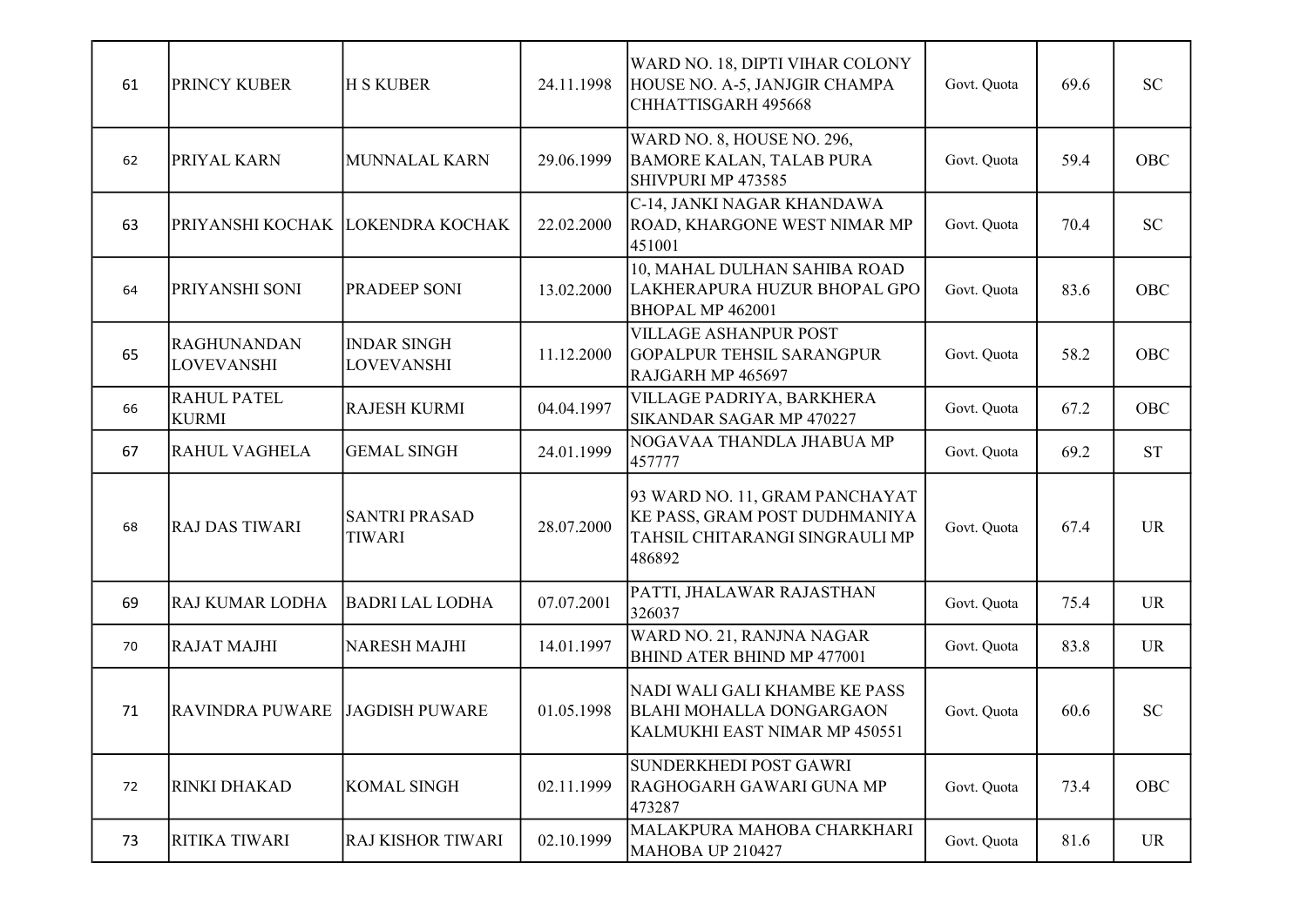| 61 | <b>PRINCY KUBER</b>                     | <b>H S KUBER</b>                        | 24.11.1998 | WARD NO. 18, DIPTI VIHAR COLONY<br>HOUSE NO. A-5, JANJGIR CHAMPA<br>CHHATTISGARH 495668                     | Govt. Quota | 69.6 | <b>SC</b> |
|----|-----------------------------------------|-----------------------------------------|------------|-------------------------------------------------------------------------------------------------------------|-------------|------|-----------|
| 62 | PRIYAL KARN                             | MUNNALAL KARN                           | 29.06.1999 | WARD NO. 8, HOUSE NO. 296,<br><b>BAMORE KALAN, TALAB PURA</b><br>SHIVPURI MP 473585                         | Govt. Quota | 59.4 | OBC       |
| 63 | PRIYANSHI KOCHAK LOKENDRA KOCHAK        |                                         | 22.02.2000 | C-14, JANKI NAGAR KHANDAWA<br>ROAD, KHARGONE WEST NIMAR MP<br>451001                                        | Govt. Quota | 70.4 | <b>SC</b> |
| 64 | PRIYANSHI SONI                          | <b>PRADEEP SONI</b>                     | 13.02.2000 | 10, MAHAL DULHAN SAHIBA ROAD<br>LAKHERAPURA HUZUR BHOPAL GPO<br>BHOPAL MP 462001                            | Govt. Quota | 83.6 | OBC       |
| 65 | <b>RAGHUNANDAN</b><br><b>LOVEVANSHI</b> | <b>INDAR SINGH</b><br><b>LOVEVANSHI</b> | 11.12.2000 | <b>VILLAGE ASHANPUR POST</b><br><b>GOPALPUR TEHSIL SARANGPUR</b><br>RAJGARH MP 465697                       | Govt. Quota | 58.2 | OBC       |
| 66 | <b>RAHUL PATEL</b><br><b>KURMI</b>      | <b>RAJESH KURMI</b>                     | 04.04.1997 | VILLAGE PADRIYA, BARKHERA<br>SIKANDAR SAGAR MP 470227                                                       | Govt. Quota | 67.2 | OBC       |
| 67 | <b>RAHUL VAGHELA</b>                    | <b>GEMAL SINGH</b>                      | 24.01.1999 | NOGAVAA THANDLA JHABUA MP<br>457777                                                                         | Govt. Quota | 69.2 | <b>ST</b> |
| 68 | <b>RAJ DAS TIWARI</b>                   | <b>SANTRI PRASAD</b><br><b>TIWARI</b>   | 28.07.2000 | 93 WARD NO. 11, GRAM PANCHAYAT<br>KE PASS, GRAM POST DUDHMANIYA<br>TAHSIL CHITARANGI SINGRAULI MP<br>486892 | Govt. Quota | 67.4 | <b>UR</b> |
| 69 | RAJ KUMAR LODHA                         | <b>BADRI LAL LODHA</b>                  | 07.07.2001 | PATTI, JHALAWAR RAJASTHAN<br>326037                                                                         | Govt. Quota | 75.4 | <b>UR</b> |
| 70 | <b>RAJAT MAJHI</b>                      | <b>NARESH MAJHI</b>                     | 14.01.1997 | WARD NO. 21, RANJNA NAGAR<br>BHIND ATER BHIND MP 477001                                                     | Govt. Quota | 83.8 | <b>UR</b> |
| 71 | <b>RAVINDRA PUWARE</b>                  | <b>JAGDISH PUWARE</b>                   | 01.05.1998 | NADI WALI GALI KHAMBE KE PASS<br><b>BLAHI MOHALLA DONGARGAON</b><br>KALMUKHI EAST NIMAR MP 450551           | Govt. Quota | 60.6 | <b>SC</b> |
| 72 | <b>RINKI DHAKAD</b>                     | <b>KOMAL SINGH</b>                      | 02.11.1999 | SUNDERKHEDI POST GAWRI<br>RAGHOGARH GAWARI GUNA MP<br>473287                                                | Govt. Quota | 73.4 | OBC       |
| 73 | RITIKA TIWARI                           | <b>RAJ KISHOR TIWARI</b>                | 02.10.1999 | MALAKPURA MAHOBA CHARKHARI<br>MAHOBA UP 210427                                                              | Govt. Quota | 81.6 | UR        |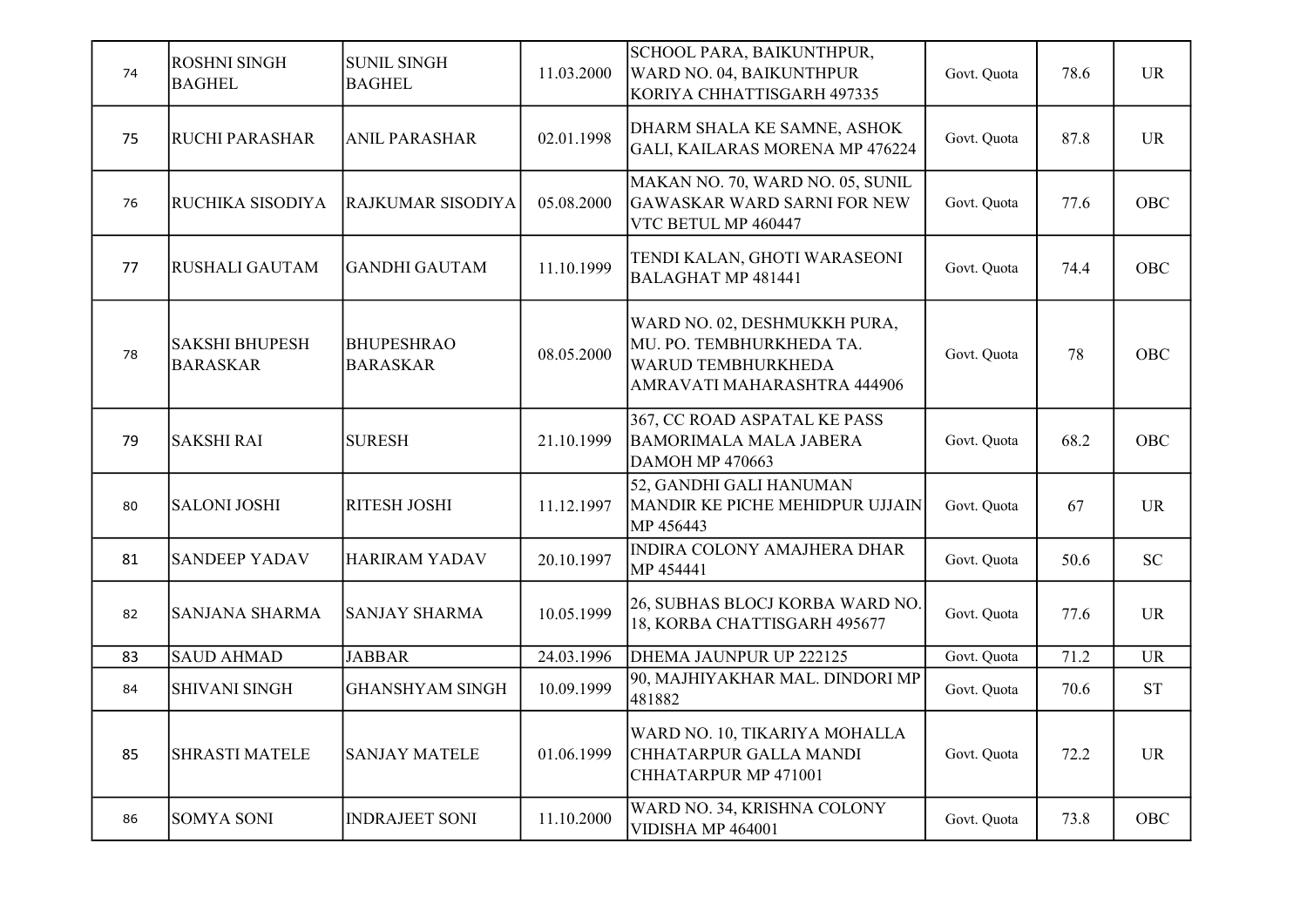| 74 | <b>ROSHNI SINGH</b><br><b>BAGHEL</b>     | <b>SUNIL SINGH</b><br><b>BAGHEL</b>  | 11.03.2000 | SCHOOL PARA, BAIKUNTHPUR,<br>WARD NO. 04, BAIKUNTHPUR<br>KORIYA CHHATTISGARH 497335                           | Govt. Quota | 78.6 | <b>UR</b>  |
|----|------------------------------------------|--------------------------------------|------------|---------------------------------------------------------------------------------------------------------------|-------------|------|------------|
| 75 | <b>RUCHI PARASHAR</b>                    | <b>ANIL PARASHAR</b>                 | 02.01.1998 | DHARM SHALA KE SAMNE, ASHOK<br>GALI, KAILARAS MORENA MP 476224                                                | Govt. Quota | 87.8 | <b>UR</b>  |
| 76 | RUCHIKA SISODIYA                         | RAJKUMAR SISODIYA                    | 05.08.2000 | MAKAN NO. 70, WARD NO. 05, SUNIL<br><b>GAWASKAR WARD SARNI FOR NEW</b><br>VTC BETUL MP 460447                 | Govt. Quota | 77.6 | OBC        |
| 77 | <b>RUSHALI GAUTAM</b>                    | <b>GANDHI GAUTAM</b>                 | 11.10.1999 | TENDI KALAN, GHOTI WARASEONI<br><b>BALAGHAT MP 481441</b>                                                     | Govt. Quota | 74.4 | OBC        |
| 78 | <b>SAKSHI BHUPESH</b><br><b>BARASKAR</b> | <b>BHUPESHRAO</b><br><b>BARASKAR</b> | 08.05.2000 | WARD NO. 02, DESHMUKKH PURA,<br>MU. PO. TEMBHURKHEDA TA.<br>WARUD TEMBHURKHEDA<br>AMRAVATI MAHARASHTRA 444906 | Govt. Quota | 78   | OBC        |
| 79 | <b>SAKSHI RAI</b>                        | <b>SURESH</b>                        | 21.10.1999 | 367, CC ROAD ASPATAL KE PASS<br><b>BAMORIMALA MALA JABERA</b><br><b>DAMOH MP 470663</b>                       | Govt. Quota | 68.2 | <b>OBC</b> |
| 80 | <b>SALONI JOSHI</b>                      | <b>RITESH JOSHI</b>                  | 11.12.1997 | 52, GANDHI GALI HANUMAN<br>MANDIR KE PICHE MEHIDPUR UJJAIN<br>MP 456443                                       | Govt. Quota | 67   | <b>UR</b>  |
| 81 | <b>SANDEEP YADAV</b>                     | <b>HARIRAM YADAV</b>                 | 20.10.1997 | INDIRA COLONY AMAJHERA DHAR<br>MP 454441                                                                      | Govt. Quota | 50.6 | <b>SC</b>  |
| 82 | <b>SANJANA SHARMA</b>                    | <b>SANJAY SHARMA</b>                 | 10.05.1999 | 26, SUBHAS BLOCJ KORBA WARD NO.<br>18, KORBA CHATTISGARH 495677                                               | Govt. Quota | 77.6 | <b>UR</b>  |
| 83 | <b>SAUD AHMAD</b>                        | <b>JABBAR</b>                        | 24.03.1996 | DHEMA JAUNPUR UP 222125                                                                                       | Govt. Quota | 71.2 | <b>UR</b>  |
| 84 | <b>SHIVANI SINGH</b>                     | <b>GHANSHYAM SINGH</b>               | 10.09.1999 | 90, MAJHIYAKHAR MAL. DINDORI MP<br>481882                                                                     | Govt. Quota | 70.6 | <b>ST</b>  |
| 85 | <b>SHRASTI MATELE</b>                    | <b>SANJAY MATELE</b>                 | 01.06.1999 | WARD NO. 10, TIKARIYA MOHALLA<br>CHHATARPUR GALLA MANDI<br>CHHATARPUR MP 471001                               | Govt. Quota | 72.2 | <b>UR</b>  |
| 86 | <b>SOMYA SONI</b>                        | <b>INDRAJEET SONI</b>                | 11.10.2000 | WARD NO. 34, KRISHNA COLONY<br>VIDISHA MP 464001                                                              | Govt. Quota | 73.8 | OBC        |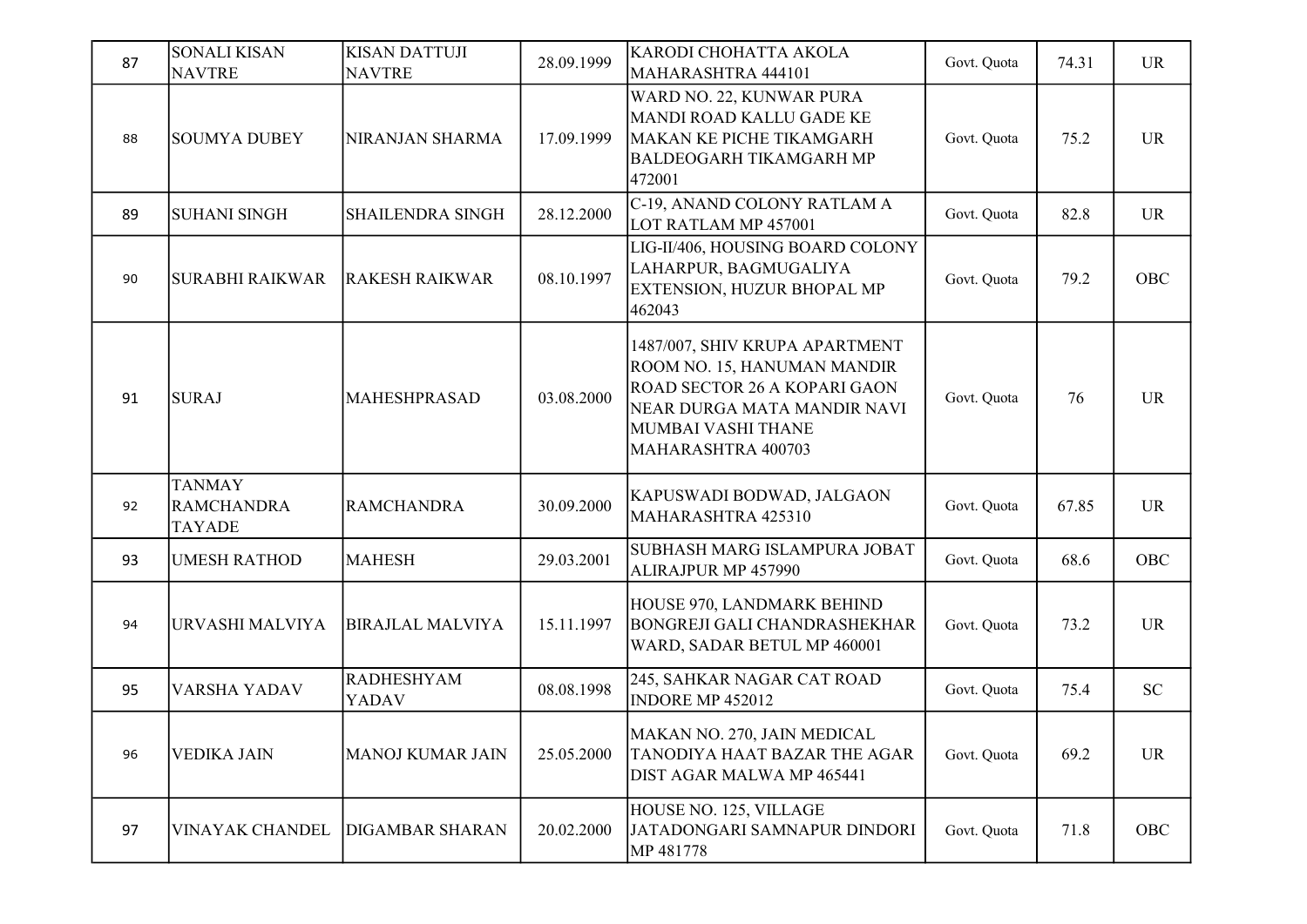| 87 | <b>SONALI KISAN</b><br><b>NAVTRE</b>                | <b>KISAN DATTUJI</b><br><b>NAVTRE</b> | 28.09.1999 | KARODI CHOHATTA AKOLA<br>MAHARASHTRA 444101                                                                                                                                     | Govt. Quota | 74.31 | <b>UR</b> |
|----|-----------------------------------------------------|---------------------------------------|------------|---------------------------------------------------------------------------------------------------------------------------------------------------------------------------------|-------------|-------|-----------|
| 88 | <b>SOUMYA DUBEY</b>                                 | NIRANJAN SHARMA                       | 17.09.1999 | WARD NO. 22, KUNWAR PURA<br>MANDI ROAD KALLU GADE KE<br>MAKAN KE PICHE TIKAMGARH<br><b>BALDEOGARH TIKAMGARH MP</b><br>472001                                                    | Govt. Quota | 75.2  | <b>UR</b> |
| 89 | <b>SUHANI SINGH</b>                                 | <b>SHAILENDRA SINGH</b>               | 28.12.2000 | C-19, ANAND COLONY RATLAM A<br>LOT RATLAM MP 457001                                                                                                                             | Govt. Quota | 82.8  | <b>UR</b> |
| 90 | <b>SURABHI RAIKWAR</b>                              | <b>RAKESH RAIKWAR</b>                 | 08.10.1997 | LIG-II/406, HOUSING BOARD COLONY<br>LAHARPUR, BAGMUGALIYA<br>EXTENSION, HUZUR BHOPAL MP<br>462043                                                                               | Govt. Quota | 79.2  | OBC       |
| 91 | <b>SURAJ</b>                                        | <b>MAHESHPRASAD</b>                   | 03.08.2000 | 1487/007, SHIV KRUPA APARTMENT<br>ROOM NO. 15, HANUMAN MANDIR<br><b>ROAD SECTOR 26 A KOPARI GAON</b><br>NEAR DURGA MATA MANDIR NAVI<br>MUMBAI VASHI THANE<br>MAHARASHTRA 400703 | Govt. Quota | 76    | <b>UR</b> |
| 92 | <b>TANMAY</b><br><b>RAMCHANDRA</b><br><b>TAYADE</b> | <b>RAMCHANDRA</b>                     | 30.09.2000 | KAPUSWADI BODWAD, JALGAON<br>MAHARASHTRA 425310                                                                                                                                 | Govt. Quota | 67.85 | <b>UR</b> |
| 93 | UMESH RATHOD                                        | <b>MAHESH</b>                         | 29.03.2001 | SUBHASH MARG ISLAMPURA JOBAT<br>ALIRAJPUR MP 457990                                                                                                                             | Govt. Quota | 68.6  | OBC       |
| 94 | URVASHI MALVIYA                                     | <b>BIRAJLAL MALVIYA</b>               | 15.11.1997 | HOUSE 970, LANDMARK BEHIND<br><b>BONGREJI GALI CHANDRASHEKHAR</b><br>WARD, SADAR BETUL MP 460001                                                                                | Govt. Quota | 73.2  | <b>UR</b> |
| 95 | <b>VARSHA YADAV</b>                                 | <b>RADHESHYAM</b><br>YADAV            | 08.08.1998 | 245, SAHKAR NAGAR CAT ROAD<br>INDORE MP 452012                                                                                                                                  | Govt. Quota | 75.4  | <b>SC</b> |
| 96 | <b>VEDIKA JAIN</b>                                  | <b>MANOJ KUMAR JAIN</b>               | 25.05.2000 | MAKAN NO. 270, JAIN MEDICAL<br>TANODIYA HAAT BAZAR THE AGAR<br>DIST AGAR MALWA MP 465441                                                                                        | Govt. Quota | 69.2  | <b>UR</b> |
| 97 | <b>VINAYAK CHANDEL</b>                              | <b>DIGAMBAR SHARAN</b>                | 20.02.2000 | HOUSE NO. 125, VILLAGE<br>JATADONGARI SAMNAPUR DINDORI<br>MP 481778                                                                                                             | Govt. Quota | 71.8  | OBC       |